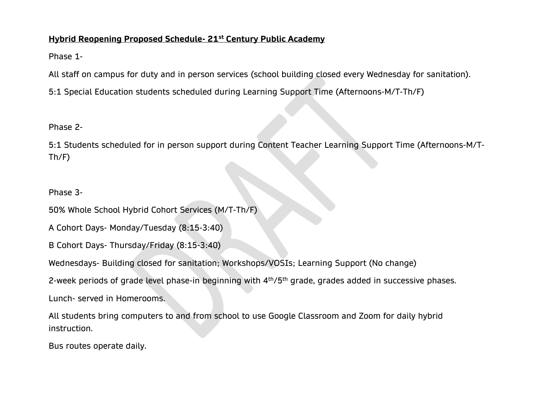### **Hybrid Reopening Proposed Schedule- 21st Century Public Academy**

Phase 1-

All staff on campus for duty and in person services (school building closed every Wednesday for sanitation).

5:1 Special Education students scheduled during Learning Support Time (Afternoons-M/T-Th/F)

## Phase 2-

5:1 Students scheduled for in person support during Content Teacher Learning Support Time (Afternoons-M/T-Th/F)

## Phase 3-

50% Whole School Hybrid Cohort Services (M/T-Th/F)

A Cohort Days- Monday/Tuesday (8:15-3:40)

B Cohort Days- Thursday/Friday (8:15-3:40)

Wednesdays- Building closed for sanitation; Workshops/VOSIs; Learning Support (No change)

2-week periods of grade level phase-in beginning with 4<sup>th</sup>/5<sup>th</sup> grade, grades added in successive phases.

Lunch- served in Homerooms.

All students bring computers to and from school to use Google Classroom and Zoom for daily hybrid instruction.

Bus routes operate daily.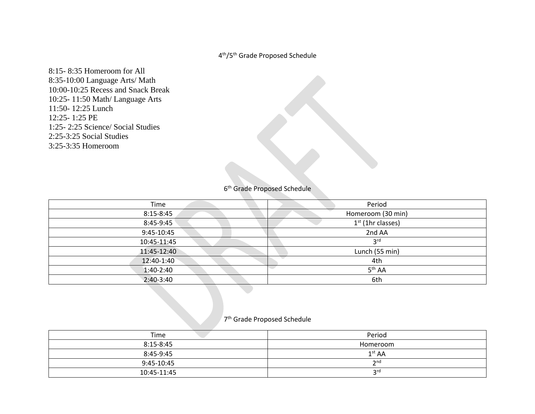#### 4 th/5th Grade Proposed Schedule

8:15- 8:35 Homeroom for All 8:35-10:00 Language Arts/ Math 10:00-10:25 Recess and Snack Break 10:25- 11:50 Math/ Language Arts 11:50- 12:25 Lunch 12:25- 1:25 PE 1:25- 2:25 Science/ Social Studies 2:25-3:25 Social Studies 3:25-3:35 Homeroom

6<sup>th</sup> Grade Proposed Schedule

| Time          | Period              |
|---------------|---------------------|
| $8:15 - 8:45$ | Homeroom (30 min)   |
| 8:45-9:45     | $1st$ (1hr classes) |
| 9:45-10:45    | 2nd AA              |
| 10:45-11:45   | 3 <sup>rd</sup>     |
| 11:45-12:40   | Lunch (55 min)      |
| 12:40-1:40    | 4th                 |
| $1:40-2:40$   | 5 <sup>th</sup> AA  |
| $2:40-3:40$   | 6th                 |

#### 7 th Grade Proposed Schedule

| Time          | Period             |
|---------------|--------------------|
| $8:15 - 8:45$ | Homeroom           |
| 8:45-9:45     | 1 <sup>st</sup> AA |
| 9:45-10:45    | 2 <sub>nd</sub>    |
| 10:45-11:45   | ord                |